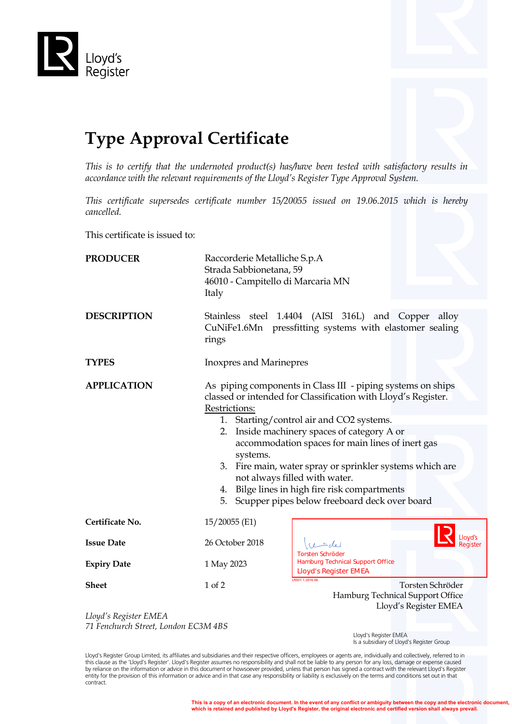

## **Type Approval Certificate**

*This is to certify that the undernoted product(s) has/have been tested with satisfactory results in accordance with the relevant requirements of the Lloyd's Register Type Approval System.*

*This certificate supersedes certificate number 15/20055 issued on 19.06.2015 which is hereby cancelled.*

This certificate is issued to:

| <b>PRODUCER</b>    | Raccorderie Metalliche S.p.A<br>Strada Sabbionetana, 59<br>46010 - Campitello di Marcaria MN<br>Italy                                                                                                                                                                                                                                                                                                                                                                                                            |                                                                                                    |  |
|--------------------|------------------------------------------------------------------------------------------------------------------------------------------------------------------------------------------------------------------------------------------------------------------------------------------------------------------------------------------------------------------------------------------------------------------------------------------------------------------------------------------------------------------|----------------------------------------------------------------------------------------------------|--|
| <b>DESCRIPTION</b> | Stainless steel 1.4404 (AISI 316L) and Copper alloy<br>CuNiFe1.6Mn pressfitting systems with elastomer sealing<br>rings                                                                                                                                                                                                                                                                                                                                                                                          |                                                                                                    |  |
| <b>TYPES</b>       | <b>Inoxpres and Marinepres</b>                                                                                                                                                                                                                                                                                                                                                                                                                                                                                   |                                                                                                    |  |
| <b>APPLICATION</b> | As piping components in Class III - piping systems on ships<br>classed or intended for Classification with Lloyd's Register.<br>Restrictions:<br>1. Starting/control air and CO2 systems.<br>Inside machinery spaces of category A or<br>2.<br>accommodation spaces for main lines of inert gas<br>systems.<br>Fire main, water spray or sprinkler systems which are<br>3.<br>not always filled with water.<br>4. Bilge lines in high fire risk compartments<br>5. Scupper pipes below freeboard deck over board |                                                                                                    |  |
| Certificate No.    | 15/20055 (E1)                                                                                                                                                                                                                                                                                                                                                                                                                                                                                                    |                                                                                                    |  |
| <b>Issue Date</b>  | 26 October 2018                                                                                                                                                                                                                                                                                                                                                                                                                                                                                                  | لعلى =_                                                                                            |  |
| <b>Expiry Date</b> | 1 May 2023                                                                                                                                                                                                                                                                                                                                                                                                                                                                                                       | <b>Torsten Schröder</b><br><b>Hamburg Technical Support Office</b><br><b>Lloyd's Register EMEA</b> |  |
| <b>Sheet</b>       | 1 of 2                                                                                                                                                                                                                                                                                                                                                                                                                                                                                                           | LR031.1.2016.06<br>Torsten Schröder<br>Hamburg Technical Support Office<br>Lloyd's Register EMEA   |  |

*Lloyd's Register EMEA 71 Fenchurch Street, London EC3M 4BS*

 Lloyd's Register EMEA Is a subsidiary of Lloyd's Register Group

Lloyd's Register Group Limited, its affiliates and subsidiaries and their respective officers, employees or agents are, individually and collectively, referred to in this clause as the 'Lloyd's Register'. Lloyd's Register assumes no responsibility and shall not be liable to any person for any loss, damage or expense caused<br>by reliance on the information or advice in this document or ho entity for the provision of this information or advice and in that case any responsibility or liability is exclusively on the terms and conditions set out in that contract.